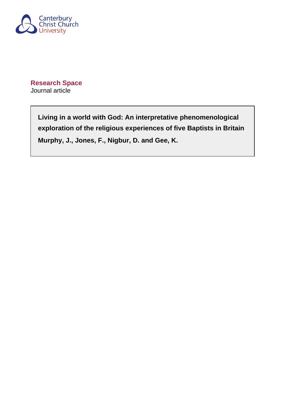

**Research Space** Journal article

> **Living in a world with God: An interpretative phenomenological exploration of the religious experiences of five Baptists in Britain Murphy, J., Jones, F., Nigbur, D. and Gee, K.**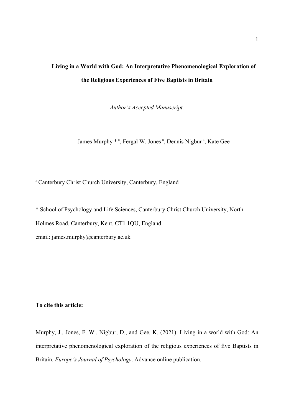# **Living in a World with God: An Interpretative Phenomenological Exploration of the Religious Experiences of Five Baptists in Britain**

*Author's Accepted Manuscript.*

James Murphy \* <sup>a</sup>, Fergal W. Jones <sup>a</sup>, Dennis Nigbur <sup>a</sup>, Kate Gee

<sup>a</sup> Canterbury Christ Church University, Canterbury, England

\* School of Psychology and Life Sciences, Canterbury Christ Church University, North Holmes Road, Canterbury, Kent, CT1 1QU, England.

email: james.murphy@canterbury.ac.uk

# **To cite this article:**

Murphy, J., Jones, F. W., Nigbur, D., and Gee, K. (2021). Living in a world with God: An interpretative phenomenological exploration of the religious experiences of five Baptists in Britain. *Europe's Journal of Psychology*. Advance online publication.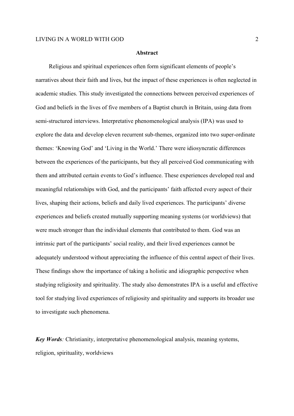#### **Abstract**

Religious and spiritual experiences often form significant elements of people's narratives about their faith and lives, but the impact of these experiences is often neglected in academic studies. This study investigated the connections between perceived experiences of God and beliefs in the lives of five members of a Baptist church in Britain, using data from semi-structured interviews. Interpretative phenomenological analysis (IPA) was used to explore the data and develop eleven recurrent sub-themes, organized into two super-ordinate themes: 'Knowing God' and 'Living in the World.' There were idiosyncratic differences between the experiences of the participants, but they all perceived God communicating with them and attributed certain events to God's influence. These experiences developed real and meaningful relationships with God, and the participants' faith affected every aspect of their lives, shaping their actions, beliefs and daily lived experiences. The participants' diverse experiences and beliefs created mutually supporting meaning systems (or worldviews) that were much stronger than the individual elements that contributed to them. God was an intrinsic part of the participants' social reality, and their lived experiences cannot be adequately understood without appreciating the influence of this central aspect of their lives. These findings show the importance of taking a holistic and idiographic perspective when studying religiosity and spirituality. The study also demonstrates IPA is a useful and effective tool for studying lived experiences of religiosity and spirituality and supports its broader use to investigate such phenomena.

*Key Words*: Christianity, interpretative phenomenological analysis, meaning systems, religion, spirituality, worldviews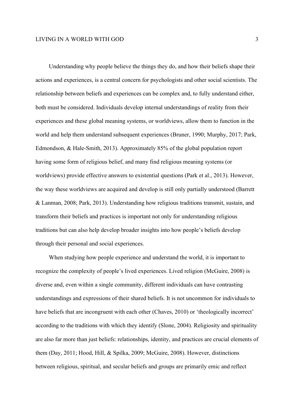Understanding why people believe the things they do, and how their beliefs shape their actions and experiences, is a central concern for psychologists and other social scientists. The relationship between beliefs and experiences can be complex and, to fully understand either, both must be considered. Individuals develop internal understandings of reality from their experiences and these global meaning systems, or worldviews, allow them to function in the world and help them understand subsequent experiences (Bruner, 1990; Murphy, 2017; Park, Edmondson, & Hale-Smith, 2013). Approximately 85% of the global population report having some form of religious belief, and many find religious meaning systems (or worldviews) provide effective answers to existential questions (Park et al., 2013). However, the way these worldviews are acquired and develop is still only partially understood (Barrett & Lanman, 2008; Park, 2013). Understanding how religious traditions transmit, sustain, and transform their beliefs and practices is important not only for understanding religious traditions but can also help develop broader insights into how people's beliefs develop through their personal and social experiences.

When studying how people experience and understand the world, it is important to recognize the complexity of people's lived experiences. Lived religion (McGuire, 2008) is diverse and, even within a single community, different individuals can have contrasting understandings and expressions of their shared beliefs. It is not uncommon for individuals to have beliefs that are incongruent with each other (Chaves, 2010) or 'theologically incorrect' according to the traditions with which they identify (Slone, 2004). Religiosity and spirituality are also far more than just beliefs: relationships, identity, and practices are crucial elements of them (Day, 2011; Hood, Hill, & Spilka, 2009; McGuire, 2008). However, distinctions between religious, spiritual, and secular beliefs and groups are primarily emic and reflect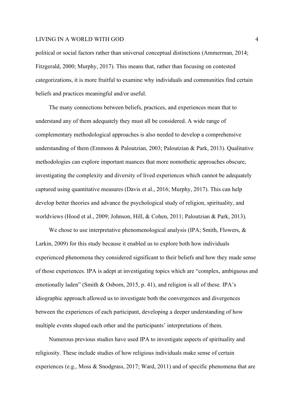political or social factors rather than universal conceptual distinctions (Ammerman, 2014; Fitzgerald, 2000; Murphy, 2017). This means that, rather than focusing on contested categorizations, it is more fruitful to examine why individuals and communities find certain beliefs and practices meaningful and/or useful.

The many connections between beliefs, practices, and experiences mean that to understand any of them adequately they must all be considered. A wide range of complementary methodological approaches is also needed to develop a comprehensive understanding of them (Emmons & Paloutzian, 2003; Paloutzian & Park, 2013). Qualitative methodologies can explore important nuances that more nomothetic approaches obscure, investigating the complexity and diversity of lived experiences which cannot be adequately captured using quantitative measures (Davis et al., 2016; Murphy, 2017). This can help develop better theories and advance the psychological study of religion, spirituality, and worldviews (Hood et al., 2009; Johnson, Hill, & Cohen, 2011; Paloutzian & Park, 2013).

We chose to use interpretative phenomenological analysis (IPA; Smith, Flowers, & Larkin, 2009) for this study because it enabled us to explore both how individuals experienced phenomena they considered significant to their beliefs and how they made sense of those experiences. IPA is adept at investigating topics which are "complex, ambiguous and emotionally laden" (Smith & Osborn, 2015, p. 41), and religion is all of these. IPA's idiographic approach allowed us to investigate both the convergences and divergences between the experiences of each participant, developing a deeper understanding of how multiple events shaped each other and the participants' interpretations of them.

Numerous previous studies have used IPA to investigate aspects of spirituality and religiosity. These include studies of how religious individuals make sense of certain experiences (e.g., Moss & Snodgrass, 2017; Ward, 2011) and of specific phenomena that are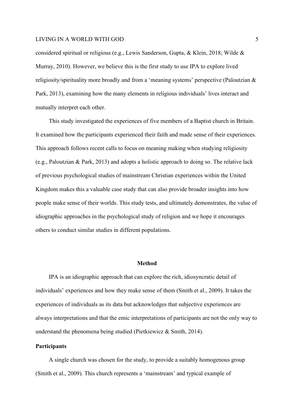considered spiritual or religious (e.g., Lewis Sanderson, Gupta, & Klein, 2018; Wilde & Murray, 2010). However, we believe this is the first study to use IPA to explore lived religiosity/spirituality more broadly and from a 'meaning systems' perspective (Paloutzian & Park, 2013), examining how the many elements in religious individuals' lives interact and mutually interpret each other.

This study investigated the experiences of five members of a Baptist church in Britain. It examined how the participants experienced their faith and made sense of their experiences. This approach follows recent calls to focus on meaning making when studying religiosity (e.g., Paloutzian & Park, 2013) and adopts a holistic approach to doing so. The relative lack of previous psychological studies of mainstream Christian experiences within the United Kingdom makes this a valuable case study that can also provide broader insights into how people make sense of their worlds. This study tests, and ultimately demonstrates, the value of idiographic approaches in the psychological study of religion and we hope it encourages others to conduct similar studies in different populations.

#### **Method**

IPA is an idiographic approach that can explore the rich, idiosyncratic detail of individuals' experiences and how they make sense of them (Smith et al., 2009). It takes the experiences of individuals as its data but acknowledges that subjective experiences are always interpretations and that the emic interpretations of participants are not the only way to understand the phenomena being studied (Pietkiewicz & Smith, 2014).

# **Participants**

A single church was chosen for the study, to provide a suitably homogenous group (Smith et al., 2009). This church represents a 'mainstream' and typical example of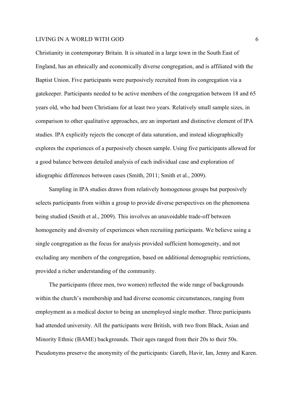Christianity in contemporary Britain. It is situated in a large town in the South East of England, has an ethnically and economically diverse congregation, and is affiliated with the Baptist Union. Five participants were purposively recruited from its congregation via a gatekeeper. Participants needed to be active members of the congregation between 18 and 65 years old, who had been Christians for at least two years. Relatively small sample sizes, in comparison to other qualitative approaches, are an important and distinctive element of IPA studies. IPA explicitly rejects the concept of data saturation, and instead idiographically explores the experiences of a purposively chosen sample. Using five participants allowed for a good balance between detailed analysis of each individual case and exploration of idiographic differences between cases (Smith, 2011; Smith et al., 2009).

Sampling in IPA studies draws from relatively homogenous groups but purposively selects participants from within a group to provide diverse perspectives on the phenomena being studied (Smith et al., 2009). This involves an unavoidable trade-off between homogeneity and diversity of experiences when recruiting participants. We believe using a single congregation as the focus for analysis provided sufficient homogeneity, and not excluding any members of the congregation, based on additional demographic restrictions, provided a richer understanding of the community.

The participants (three men, two women) reflected the wide range of backgrounds within the church's membership and had diverse economic circumstances, ranging from employment as a medical doctor to being an unemployed single mother. Three participants had attended university. All the participants were British, with two from Black, Asian and Minority Ethnic (BAME) backgrounds. Their ages ranged from their 20s to their 50s. Pseudonyms preserve the anonymity of the participants: Gareth, Havir, Ian, Jenny and Karen.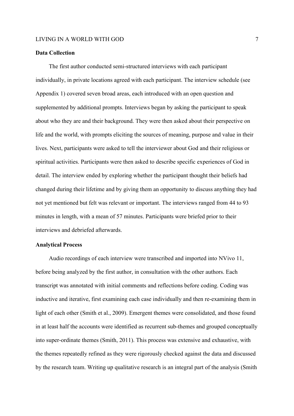# **Data Collection**

The first author conducted semi-structured interviews with each participant individually, in private locations agreed with each participant. The interview schedule (see Appendix 1) covered seven broad areas, each introduced with an open question and supplemented by additional prompts. Interviews began by asking the participant to speak about who they are and their background. They were then asked about their perspective on life and the world, with prompts eliciting the sources of meaning, purpose and value in their lives. Next, participants were asked to tell the interviewer about God and their religious or spiritual activities. Participants were then asked to describe specific experiences of God in detail. The interview ended by exploring whether the participant thought their beliefs had changed during their lifetime and by giving them an opportunity to discuss anything they had not yet mentioned but felt was relevant or important. The interviews ranged from 44 to 93 minutes in length, with a mean of 57 minutes. Participants were briefed prior to their interviews and debriefed afterwards.

#### **Analytical Process**

Audio recordings of each interview were transcribed and imported into NVivo 11, before being analyzed by the first author, in consultation with the other authors. Each transcript was annotated with initial comments and reflections before coding. Coding was inductive and iterative, first examining each case individually and then re-examining them in light of each other (Smith et al., 2009). Emergent themes were consolidated, and those found in at least half the accounts were identified as recurrent sub-themes and grouped conceptually into super-ordinate themes (Smith, 2011). This process was extensive and exhaustive, with the themes repeatedly refined as they were rigorously checked against the data and discussed by the research team. Writing up qualitative research is an integral part of the analysis (Smith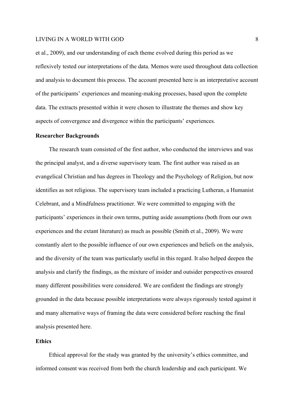et al., 2009), and our understanding of each theme evolved during this period as we reflexively tested our interpretations of the data. Memos were used throughout data collection and analysis to document this process. The account presented here is an interpretative account of the participants' experiences and meaning-making processes, based upon the complete data. The extracts presented within it were chosen to illustrate the themes and show key aspects of convergence and divergence within the participants' experiences.

#### **Researcher Backgrounds**

The research team consisted of the first author, who conducted the interviews and was the principal analyst, and a diverse supervisory team. The first author was raised as an evangelical Christian and has degrees in Theology and the Psychology of Religion, but now identifies as not religious. The supervisory team included a practicing Lutheran, a Humanist Celebrant, and a Mindfulness practitioner. We were committed to engaging with the participants' experiences in their own terms, putting aside assumptions (both from our own experiences and the extant literature) as much as possible (Smith et al., 2009). We were constantly alert to the possible influence of our own experiences and beliefs on the analysis, and the diversity of the team was particularly useful in this regard. It also helped deepen the analysis and clarify the findings, as the mixture of insider and outsider perspectives ensured many different possibilities were considered. We are confident the findings are strongly grounded in the data because possible interpretations were always rigorously tested against it and many alternative ways of framing the data were considered before reaching the final analysis presented here.

# **Ethics**

Ethical approval for the study was granted by the university's ethics committee, and informed consent was received from both the church leadership and each participant. We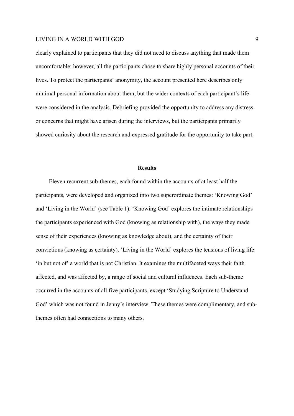clearly explained to participants that they did not need to discuss anything that made them uncomfortable; however, all the participants chose to share highly personal accounts of their lives. To protect the participants' anonymity, the account presented here describes only minimal personal information about them, but the wider contexts of each participant's life were considered in the analysis. Debriefing provided the opportunity to address any distress or concerns that might have arisen during the interviews, but the participants primarily showed curiosity about the research and expressed gratitude for the opportunity to take part.

#### **Results**

Eleven recurrent sub-themes, each found within the accounts of at least half the participants, were developed and organized into two superordinate themes: 'Knowing God' and 'Living in the World' (see Table 1). 'Knowing God' explores the intimate relationships the participants experienced with God (knowing as relationship with), the ways they made sense of their experiences (knowing as knowledge about), and the certainty of their convictions (knowing as certainty). 'Living in the World' explores the tensions of living life 'in but not of' a world that is not Christian. It examines the multifaceted ways their faith affected, and was affected by, a range of social and cultural influences. Each sub-theme occurred in the accounts of all five participants, except 'Studying Scripture to Understand God' which was not found in Jenny's interview. These themes were complimentary, and subthemes often had connections to many others.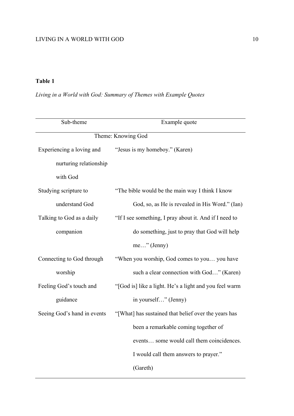# **Table 1**

*Living in a World with God: Summary of Themes with Example Quotes*

| Sub-theme                   | Example quote                                          |
|-----------------------------|--------------------------------------------------------|
| Theme: Knowing God          |                                                        |
| Experiencing a loving and   | "Jesus is my homeboy." (Karen)                         |
| nurturing relationship      |                                                        |
| with God                    |                                                        |
| Studying scripture to       | "The bible would be the main way I think I know        |
| understand God              | God, so, as He is revealed in His Word." (Ian)         |
| Talking to God as a daily   | "If I see something, I pray about it. And if I need to |
| companion                   | do something, just to pray that God will help          |
|                             | $me$ " (Jenny)                                         |
| Connecting to God through   | "When you worship, God comes to you you have           |
| worship                     | such a clear connection with God" (Karen)              |
| Feeling God's touch and     | "[God is] like a light. He's a light and you feel warm |
| guidance                    | in yourself" (Jenny)                                   |
| Seeing God's hand in events | "[What] has sustained that belief over the years has   |
|                             | been a remarkable coming together of                   |
|                             | events some would call them coincidences.              |
|                             | I would call them answers to prayer."                  |
|                             | (Gareth)                                               |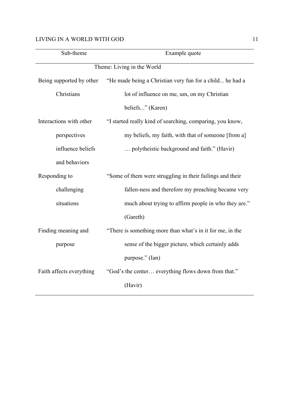| Sub-theme                | Example quote                                             |
|--------------------------|-----------------------------------------------------------|
|                          | Theme: Living in the World                                |
| Being supported by other | "He made being a Christian very fun for a child he had a  |
| Christians               | lot of influence on me, um, on my Christian               |
|                          | beliefs" (Karen)                                          |
| Interactions with other  | "I started really kind of searching, comparing, you know, |
| perspectives             | my beliefs, my faith, with that of someone [from a]       |
| influence beliefs        | polytheistic background and faith." (Havir)               |
| and behaviors            |                                                           |
| Responding to            | "Some of them were struggling in their failings and their |
| challenging              | fallen-ness and therefore my preaching became very        |
| situations               | much about trying to affirm people in who they are."      |
|                          | (Gareth)                                                  |
| Finding meaning and      | "There is something more than what's in it for me, in the |
| purpose                  | sense of the bigger picture, which certainly adds         |
|                          | purpose." (Ian)                                           |
| Faith affects everything | "God's the center everything flows down from that."       |
|                          | (Havir)                                                   |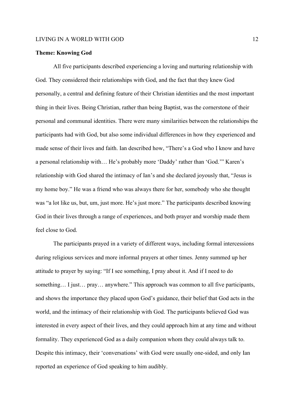# **Theme: Knowing God**

All five participants described experiencing a loving and nurturing relationship with God. They considered their relationships with God, and the fact that they knew God personally, a central and defining feature of their Christian identities and the most important thing in their lives. Being Christian, rather than being Baptist, was the cornerstone of their personal and communal identities. There were many similarities between the relationships the participants had with God, but also some individual differences in how they experienced and made sense of their lives and faith. Ian described how, "There's a God who I know and have a personal relationship with… He's probably more 'Daddy' rather than 'God.'" Karen's relationship with God shared the intimacy of Ian's and she declared joyously that, "Jesus is my home boy." He was a friend who was always there for her, somebody who she thought was "a lot like us, but, um, just more. He's just more." The participants described knowing God in their lives through a range of experiences, and both prayer and worship made them feel close to God.

The participants prayed in a variety of different ways, including formal intercessions during religious services and more informal prayers at other times. Jenny summed up her attitude to prayer by saying: "If I see something, I pray about it. And if I need to do something... I just... pray... anywhere." This approach was common to all five participants, and shows the importance they placed upon God's guidance, their belief that God acts in the world, and the intimacy of their relationship with God. The participants believed God was interested in every aspect of their lives, and they could approach him at any time and without formality. They experienced God as a daily companion whom they could always talk to. Despite this intimacy, their 'conversations' with God were usually one-sided, and only Ian reported an experience of God speaking to him audibly.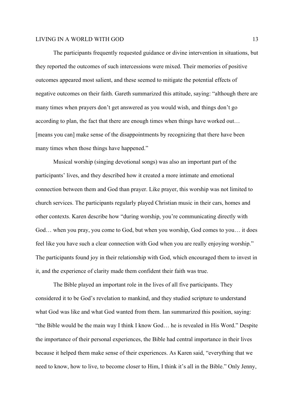The participants frequently requested guidance or divine intervention in situations, but they reported the outcomes of such intercessions were mixed. Their memories of positive outcomes appeared most salient, and these seemed to mitigate the potential effects of negative outcomes on their faith. Gareth summarized this attitude, saying: "although there are many times when prayers don't get answered as you would wish, and things don't go according to plan, the fact that there are enough times when things have worked out… [means you can] make sense of the disappointments by recognizing that there have been many times when those things have happened."

Musical worship (singing devotional songs) was also an important part of the participants' lives, and they described how it created a more intimate and emotional connection between them and God than prayer. Like prayer, this worship was not limited to church services. The participants regularly played Christian music in their cars, homes and other contexts. Karen describe how "during worship, you're communicating directly with God… when you pray, you come to God, but when you worship, God comes to you… it does feel like you have such a clear connection with God when you are really enjoying worship." The participants found joy in their relationship with God, which encouraged them to invest in it, and the experience of clarity made them confident their faith was true.

The Bible played an important role in the lives of all five participants. They considered it to be God's revelation to mankind, and they studied scripture to understand what God was like and what God wanted from them. Ian summarized this position, saying: "the Bible would be the main way I think I know God… he is revealed in His Word." Despite the importance of their personal experiences, the Bible had central importance in their lives because it helped them make sense of their experiences. As Karen said, "everything that we need to know, how to live, to become closer to Him, I think it's all in the Bible." Only Jenny,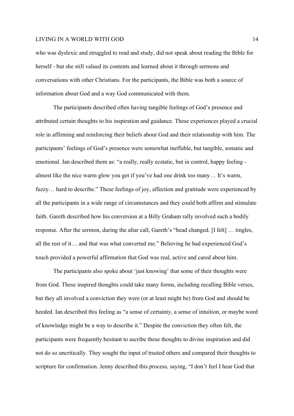who was dyslexic and struggled to read and study, did not speak about reading the Bible for herself - but she still valued its contents and learned about it through sermons and conversations with other Christians. For the participants, the Bible was both a source of information about God and a way God communicated with them.

The participants described often having tangible feelings of God's presence and attributed certain thoughts to his inspiration and guidance. These experiences played a crucial role in affirming and reinforcing their beliefs about God and their relationship with him. The participants' feelings of God's presence were somewhat ineffable, but tangible, somatic and emotional. Ian described them as: "a really, really ecstatic, but in control, happy feeling almost like the nice warm glow you get if you've had one drink too many… It's warm, fuzzy… hard to describe." These feelings of joy, affection and gratitude were experienced by all the participants in a wide range of circumstances and they could both affirm and stimulate faith. Gareth described how his conversion at a Billy Graham rally involved such a bodily response. After the sermon, during the altar call, Gareth's "head changed. [I felt] … tingles, all the rest of it… and that was what converted me." Believing he had experienced God's touch provided a powerful affirmation that God was real, active and cared about him.

The participants also spoke about 'just knowing' that some of their thoughts were from God. These inspired thoughts could take many forms, including recalling Bible verses, but they all involved a conviction they were (or at least might be) from God and should be heeded. Ian described this feeling as "a sense of certainty, a sense of intuition, or maybe word of knowledge might be a way to describe it." Despite the conviction they often felt, the participants were frequently hesitant to ascribe these thoughts to divine inspiration and did not do so uncritically. They sought the input of trusted others and compared their thoughts to scripture for confirmation. Jenny described this process, saying, "I don't feel I hear God that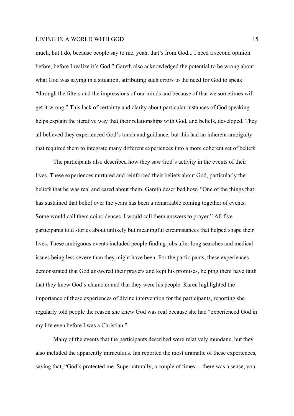much, but I do, because people say to me, yeah, that's from God... I need a second opinion before, before I realize it's God." Gareth also acknowledged the potential to be wrong about what God was saying in a situation, attributing such errors to the need for God to speak "through the filters and the impressions of our minds and because of that we sometimes will get it wrong." This lack of certainty and clarity about particular instances of God speaking helps explain the iterative way that their relationships with God, and beliefs, developed. They all believed they experienced God's touch and guidance, but this had an inherent ambiguity that required them to integrate many different experiences into a more coherent set of beliefs.

The participants also described how they saw God's activity in the events of their lives. These experiences nurtured and reinforced their beliefs about God, particularly the beliefs that he was real and cared about them. Gareth described how, "One of the things that has sustained that belief over the years has been a remarkable coming together of events. Some would call them coincidences. I would call them answers to prayer." All five participants told stories about unlikely but meaningful circumstances that helped shape their lives. These ambiguous events included people finding jobs after long searches and medical issues being less severe than they might have been. For the participants, these experiences demonstrated that God answered their prayers and kept his promises, helping them have faith that they knew God's character and that they were his people. Karen highlighted the importance of these experiences of divine intervention for the participants, reporting she regularly told people the reason she knew God was real because she had "experienced God in my life even before I was a Christian."

Many of the events that the participants described were relatively mundane, but they also included the apparently miraculous. Ian reported the most dramatic of these experiences, saying that, "God's protected me. Supernaturally, a couple of times… there was a sense, you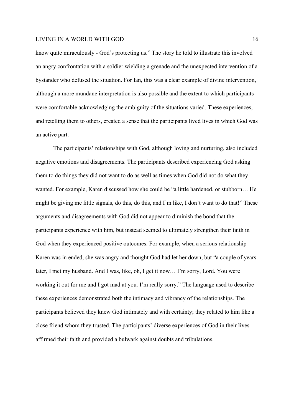know quite miraculously - God's protecting us." The story he told to illustrate this involved an angry confrontation with a soldier wielding a grenade and the unexpected intervention of a bystander who defused the situation. For Ian, this was a clear example of divine intervention, although a more mundane interpretation is also possible and the extent to which participants were comfortable acknowledging the ambiguity of the situations varied. These experiences, and retelling them to others, created a sense that the participants lived lives in which God was an active part.

The participants' relationships with God, although loving and nurturing, also included negative emotions and disagreements. The participants described experiencing God asking them to do things they did not want to do as well as times when God did not do what they wanted. For example, Karen discussed how she could be "a little hardened, or stubborn… He might be giving me little signals, do this, do this, and I'm like, I don't want to do that!" These arguments and disagreements with God did not appear to diminish the bond that the participants experience with him, but instead seemed to ultimately strengthen their faith in God when they experienced positive outcomes. For example, when a serious relationship Karen was in ended, she was angry and thought God had let her down, but "a couple of years later, I met my husband. And I was, like, oh, I get it now… I'm sorry, Lord. You were working it out for me and I got mad at you. I'm really sorry." The language used to describe these experiences demonstrated both the intimacy and vibrancy of the relationships. The participants believed they knew God intimately and with certainty; they related to him like a close friend whom they trusted. The participants' diverse experiences of God in their lives affirmed their faith and provided a bulwark against doubts and tribulations.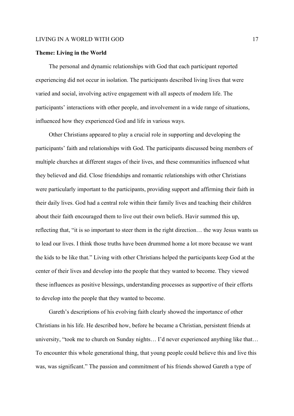#### **Theme: Living in the World**

The personal and dynamic relationships with God that each participant reported experiencing did not occur in isolation. The participants described living lives that were varied and social, involving active engagement with all aspects of modern life. The participants' interactions with other people, and involvement in a wide range of situations, influenced how they experienced God and life in various ways.

Other Christians appeared to play a crucial role in supporting and developing the participants' faith and relationships with God. The participants discussed being members of multiple churches at different stages of their lives, and these communities influenced what they believed and did. Close friendships and romantic relationships with other Christians were particularly important to the participants, providing support and affirming their faith in their daily lives. God had a central role within their family lives and teaching their children about their faith encouraged them to live out their own beliefs. Havir summed this up, reflecting that, "it is so important to steer them in the right direction… the way Jesus wants us to lead our lives. I think those truths have been drummed home a lot more because we want the kids to be like that." Living with other Christians helped the participants keep God at the center of their lives and develop into the people that they wanted to become. They viewed these influences as positive blessings, understanding processes as supportive of their efforts to develop into the people that they wanted to become.

Gareth's descriptions of his evolving faith clearly showed the importance of other Christians in his life. He described how, before he became a Christian, persistent friends at university, "took me to church on Sunday nights… I'd never experienced anything like that… To encounter this whole generational thing, that young people could believe this and live this was, was significant." The passion and commitment of his friends showed Gareth a type of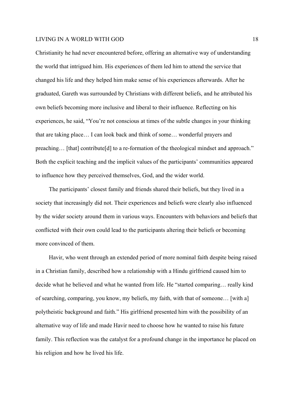Christianity he had never encountered before, offering an alternative way of understanding the world that intrigued him. His experiences of them led him to attend the service that changed his life and they helped him make sense of his experiences afterwards. After he graduated, Gareth was surrounded by Christians with different beliefs, and he attributed his own beliefs becoming more inclusive and liberal to their influence. Reflecting on his experiences, he said, "You're not conscious at times of the subtle changes in your thinking that are taking place… I can look back and think of some… wonderful prayers and preaching… [that] contribute[d] to a re-formation of the theological mindset and approach." Both the explicit teaching and the implicit values of the participants' communities appeared to influence how they perceived themselves, God, and the wider world.

The participants' closest family and friends shared their beliefs, but they lived in a society that increasingly did not. Their experiences and beliefs were clearly also influenced by the wider society around them in various ways. Encounters with behaviors and beliefs that conflicted with their own could lead to the participants altering their beliefs or becoming more convinced of them.

Havir, who went through an extended period of more nominal faith despite being raised in a Christian family, described how a relationship with a Hindu girlfriend caused him to decide what he believed and what he wanted from life. He "started comparing… really kind of searching, comparing, you know, my beliefs, my faith, with that of someone… [with a] polytheistic background and faith." His girlfriend presented him with the possibility of an alternative way of life and made Havir need to choose how he wanted to raise his future family. This reflection was the catalyst for a profound change in the importance he placed on his religion and how he lived his life.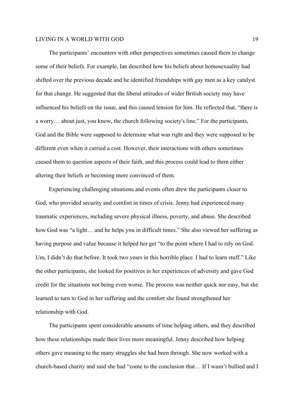The participants' encounters with other perspectives sometimes caused them to change some of their beliefs. For example, Ian described how his beliefs about homosexuality had shifted over the previous decade and he identified friendships with gay men as a key catalyst for that change. He suggested that the liberal attitudes of wider British society may have influenced his beliefs on the issue, and this caused tension for him. He reflected that, "there is a worry… about just, you know, the church following society's line." For the participants, God and the Bible were supposed to determine what was right and they were supposed to be different even when it carried a cost. However, their interactions with others sometimes caused them to question aspects of their faith, and this process could lead to them either altering their beliefs or becoming more convinced of them.

Experiencing challenging situations and events often drew the participants closer to God, who provided security and comfort in times of crisis. Jenny had experienced many traumatic experiences, including severe physical illness, poverty, and abuse. She described how God was "a light… and he helps you in difficult times." She also viewed her suffering as having purpose and value because it helped her get "to the point where I had to rely on God. Um, I didn't do that before. It took two years in this horrible place. I had to learn stuff." Like the other participants, she looked for positives in her experiences of adversity and gave God credit for the situations not being even worse. The process was neither quick nor easy, but she learned to turn to God in her suffering and the comfort she found strengthened her relationship with God.

The participants spent considerable amounts of time helping others, and they described how these relationships made their lives more meaningful. Jenny described how helping others gave meaning to the many struggles she had been through. She now worked with a church-based charity and said she had "come to the conclusion that… If I wasn't bullied and I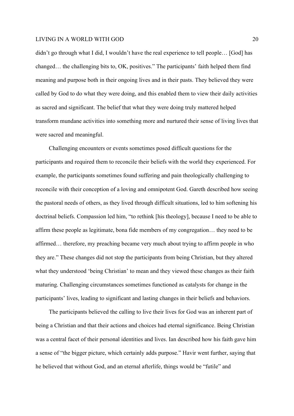didn't go through what I did, I wouldn't have the real experience to tell people… [God] has changed… the challenging bits to, OK, positives." The participants' faith helped them find meaning and purpose both in their ongoing lives and in their pasts. They believed they were called by God to do what they were doing, and this enabled them to view their daily activities as sacred and significant. The belief that what they were doing truly mattered helped transform mundane activities into something more and nurtured their sense of living lives that were sacred and meaningful.

Challenging encounters or events sometimes posed difficult questions for the participants and required them to reconcile their beliefs with the world they experienced. For example, the participants sometimes found suffering and pain theologically challenging to reconcile with their conception of a loving and omnipotent God. Gareth described how seeing the pastoral needs of others, as they lived through difficult situations, led to him softening his doctrinal beliefs. Compassion led him, "to rethink [his theology], because I need to be able to affirm these people as legitimate, bona fide members of my congregation… they need to be affirmed… therefore, my preaching became very much about trying to affirm people in who they are." These changes did not stop the participants from being Christian, but they altered what they understood 'being Christian' to mean and they viewed these changes as their faith maturing. Challenging circumstances sometimes functioned as catalysts for change in the participants' lives, leading to significant and lasting changes in their beliefs and behaviors.

The participants believed the calling to live their lives for God was an inherent part of being a Christian and that their actions and choices had eternal significance. Being Christian was a central facet of their personal identities and lives. Ian described how his faith gave him a sense of "the bigger picture, which certainly adds purpose." Havir went further, saying that he believed that without God, and an eternal afterlife, things would be "futile" and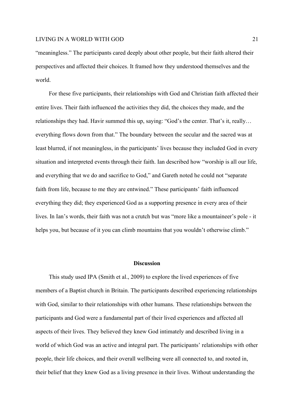"meaningless." The participants cared deeply about other people, but their faith altered their perspectives and affected their choices. It framed how they understood themselves and the world.

For these five participants, their relationships with God and Christian faith affected their entire lives. Their faith influenced the activities they did, the choices they made, and the relationships they had. Havir summed this up, saying: "God's the center. That's it, really… everything flows down from that." The boundary between the secular and the sacred was at least blurred, if not meaningless, in the participants' lives because they included God in every situation and interpreted events through their faith. Ian described how "worship is all our life, and everything that we do and sacrifice to God," and Gareth noted he could not "separate faith from life, because to me they are entwined." These participants' faith influenced everything they did; they experienced God as a supporting presence in every area of their lives. In Ian's words, their faith was not a crutch but was "more like a mountaineer's pole - it helps you, but because of it you can climb mountains that you wouldn't otherwise climb."

### **Discussion**

This study used IPA (Smith et al., 2009) to explore the lived experiences of five members of a Baptist church in Britain. The participants described experiencing relationships with God, similar to their relationships with other humans. These relationships between the participants and God were a fundamental part of their lived experiences and affected all aspects of their lives. They believed they knew God intimately and described living in a world of which God was an active and integral part. The participants' relationships with other people, their life choices, and their overall wellbeing were all connected to, and rooted in, their belief that they knew God as a living presence in their lives. Without understanding the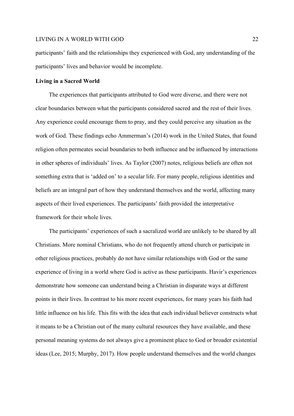participants' faith and the relationships they experienced with God, any understanding of the participants' lives and behavior would be incomplete.

#### **Living in a Sacred World**

The experiences that participants attributed to God were diverse, and there were not clear boundaries between what the participants considered sacred and the rest of their lives. Any experience could encourage them to pray, and they could perceive any situation as the work of God. These findings echo Ammerman's (2014) work in the United States, that found religion often permeates social boundaries to both influence and be influenced by interactions in other spheres of individuals' lives. As Taylor (2007) notes, religious beliefs are often not something extra that is 'added on' to a secular life. For many people, religious identities and beliefs are an integral part of how they understand themselves and the world, affecting many aspects of their lived experiences. The participants' faith provided the interpretative framework for their whole lives.

The participants' experiences of such a sacralized world are unlikely to be shared by all Christians. More nominal Christians, who do not frequently attend church or participate in other religious practices, probably do not have similar relationships with God or the same experience of living in a world where God is active as these participants. Havir's experiences demonstrate how someone can understand being a Christian in disparate ways at different points in their lives. In contrast to his more recent experiences, for many years his faith had little influence on his life. This fits with the idea that each individual believer constructs what it means to be a Christian out of the many cultural resources they have available, and these personal meaning systems do not always give a prominent place to God or broader existential ideas (Lee, 2015; Murphy, 2017). How people understand themselves and the world changes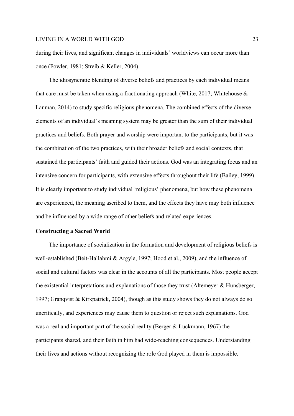during their lives, and significant changes in individuals' worldviews can occur more than once (Fowler, 1981; Streib & Keller, 2004).

The idiosyncratic blending of diverse beliefs and practices by each individual means that care must be taken when using a fractionating approach (White, 2017; Whitehouse  $\&$ Lanman, 2014) to study specific religious phenomena. The combined effects of the diverse elements of an individual's meaning system may be greater than the sum of their individual practices and beliefs. Both prayer and worship were important to the participants, but it was the combination of the two practices, with their broader beliefs and social contexts, that sustained the participants' faith and guided their actions. God was an integrating focus and an intensive concern for participants, with extensive effects throughout their life (Bailey, 1999). It is clearly important to study individual 'religious' phenomena, but how these phenomena are experienced, the meaning ascribed to them, and the effects they have may both influence and be influenced by a wide range of other beliefs and related experiences.

# **Constructing a Sacred World**

The importance of socialization in the formation and development of religious beliefs is well-established (Beit-Hallahmi & Argyle, 1997; Hood et al., 2009), and the influence of social and cultural factors was clear in the accounts of all the participants. Most people accept the existential interpretations and explanations of those they trust (Altemeyer & Hunsberger, 1997; Granqvist & Kirkpatrick, 2004), though as this study shows they do not always do so uncritically, and experiences may cause them to question or reject such explanations. God was a real and important part of the social reality (Berger & Luckmann, 1967) the participants shared, and their faith in him had wide-reaching consequences. Understanding their lives and actions without recognizing the role God played in them is impossible.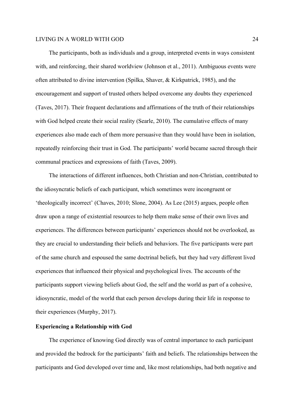The participants, both as individuals and a group, interpreted events in ways consistent with, and reinforcing, their shared worldview (Johnson et al., 2011). Ambiguous events were often attributed to divine intervention (Spilka, Shaver, & Kirkpatrick, 1985), and the encouragement and support of trusted others helped overcome any doubts they experienced (Taves, 2017). Their frequent declarations and affirmations of the truth of their relationships with God helped create their social reality (Searle, 2010). The cumulative effects of many experiences also made each of them more persuasive than they would have been in isolation, repeatedly reinforcing their trust in God. The participants' world became sacred through their communal practices and expressions of faith (Taves, 2009).

The interactions of different influences, both Christian and non-Christian, contributed to the idiosyncratic beliefs of each participant, which sometimes were incongruent or 'theologically incorrect' (Chaves, 2010; Slone, 2004). As Lee (2015) argues, people often draw upon a range of existential resources to help them make sense of their own lives and experiences. The differences between participants' experiences should not be overlooked, as they are crucial to understanding their beliefs and behaviors. The five participants were part of the same church and espoused the same doctrinal beliefs, but they had very different lived experiences that influenced their physical and psychological lives. The accounts of the participants support viewing beliefs about God, the self and the world as part of a cohesive, idiosyncratic, model of the world that each person develops during their life in response to their experiences (Murphy, 2017).

### **Experiencing a Relationship with God**

The experience of knowing God directly was of central importance to each participant and provided the bedrock for the participants' faith and beliefs. The relationships between the participants and God developed over time and, like most relationships, had both negative and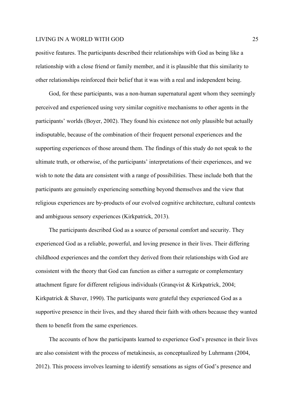positive features. The participants described their relationships with God as being like a relationship with a close friend or family member, and it is plausible that this similarity to other relationships reinforced their belief that it was with a real and independent being.

God, for these participants, was a non-human supernatural agent whom they seemingly perceived and experienced using very similar cognitive mechanisms to other agents in the participants' worlds (Boyer, 2002). They found his existence not only plausible but actually indisputable, because of the combination of their frequent personal experiences and the supporting experiences of those around them. The findings of this study do not speak to the ultimate truth, or otherwise, of the participants' interpretations of their experiences, and we wish to note the data are consistent with a range of possibilities. These include both that the participants are genuinely experiencing something beyond themselves and the view that religious experiences are by-products of our evolved cognitive architecture, cultural contexts and ambiguous sensory experiences (Kirkpatrick, 2013).

The participants described God as a source of personal comfort and security. They experienced God as a reliable, powerful, and loving presence in their lives. Their differing childhood experiences and the comfort they derived from their relationships with God are consistent with the theory that God can function as either a surrogate or complementary attachment figure for different religious individuals (Granqvist & Kirkpatrick, 2004; Kirkpatrick & Shaver, 1990). The participants were grateful they experienced God as a supportive presence in their lives, and they shared their faith with others because they wanted them to benefit from the same experiences.

The accounts of how the participants learned to experience God's presence in their lives are also consistent with the process of metakinesis, as conceptualized by Luhrmann (2004, 2012). This process involves learning to identify sensations as signs of God's presence and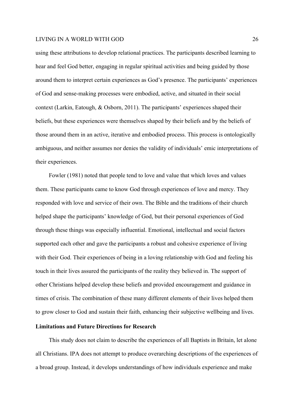using these attributions to develop relational practices. The participants described learning to hear and feel God better, engaging in regular spiritual activities and being guided by those around them to interpret certain experiences as God's presence. The participants' experiences of God and sense-making processes were embodied, active, and situated in their social context (Larkin, Eatough, & Osborn, 2011). The participants' experiences shaped their beliefs, but these experiences were themselves shaped by their beliefs and by the beliefs of those around them in an active, iterative and embodied process. This process is ontologically ambiguous, and neither assumes nor denies the validity of individuals' emic interpretations of their experiences.

Fowler (1981) noted that people tend to love and value that which loves and values them. These participants came to know God through experiences of love and mercy. They responded with love and service of their own. The Bible and the traditions of their church helped shape the participants' knowledge of God, but their personal experiences of God through these things was especially influential. Emotional, intellectual and social factors supported each other and gave the participants a robust and cohesive experience of living with their God. Their experiences of being in a loving relationship with God and feeling his touch in their lives assured the participants of the reality they believed in. The support of other Christians helped develop these beliefs and provided encouragement and guidance in times of crisis. The combination of these many different elements of their lives helped them to grow closer to God and sustain their faith, enhancing their subjective wellbeing and lives.

### **Limitations and Future Directions for Research**

This study does not claim to describe the experiences of all Baptists in Britain, let alone all Christians. IPA does not attempt to produce overarching descriptions of the experiences of a broad group. Instead, it develops understandings of how individuals experience and make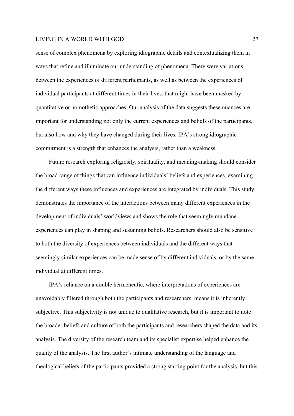sense of complex phenomena by exploring idiographic details and contextualizing them in ways that refine and illuminate our understanding of phenomena. There were variations between the experiences of different participants, as well as between the experiences of individual participants at different times in their lives, that might have been masked by quantitative or nomothetic approaches. Our analysis of the data suggests these nuances are important for understanding not only the current experiences and beliefs of the participants, but also how and why they have changed during their lives. IPA's strong idiographic commitment is a strength that enhances the analysis, rather than a weakness.

Future research exploring religiosity, spirituality, and meaning-making should consider the broad range of things that can influence individuals' beliefs and experiences, examining the different ways these influences and experiences are integrated by individuals. This study demonstrates the importance of the interactions between many different experiences in the development of individuals' worldviews and shows the role that seemingly mundane experiences can play in shaping and sustaining beliefs. Researchers should also be sensitive to both the diversity of experiences between individuals and the different ways that seemingly similar experiences can be made sense of by different individuals, or by the same individual at different times.

IPA's reliance on a double hermeneutic, where interpretations of experiences are unavoidably filtered through both the participants and researchers, means it is inherently subjective. This subjectivity is not unique to qualitative research, but it is important to note the broader beliefs and culture of both the participants and researchers shaped the data and its analysis. The diversity of the research team and its specialist expertise helped enhance the quality of the analysis. The first author's intimate understanding of the language and theological beliefs of the participants provided a strong starting point for the analysis, but this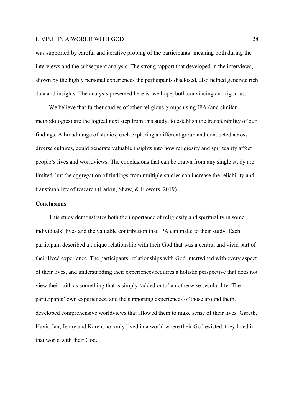was supported by careful and iterative probing of the participants' meaning both during the interviews and the subsequent analysis. The strong rapport that developed in the interviews, shown by the highly personal experiences the participants disclosed, also helped generate rich data and insights. The analysis presented here is, we hope, both convincing and rigorous.

We believe that further studies of other religious groups using IPA (and similar methodologies) are the logical next step from this study, to establish the transferability of our findings. A broad range of studies, each exploring a different group and conducted across diverse cultures, could generate valuable insights into how religiosity and spirituality affect people's lives and worldviews. The conclusions that can be drawn from any single study are limited, but the aggregation of findings from multiple studies can increase the reliability and transferability of research (Larkin, Shaw, & Flowers, 2019).

# **Conclusions**

This study demonstrates both the importance of religiosity and spirituality in some individuals' lives and the valuable contribution that IPA can make to their study. Each participant described a unique relationship with their God that was a central and vivid part of their lived experience. The participants' relationships with God intertwined with every aspect of their lives, and understanding their experiences requires a holistic perspective that does not view their faith as something that is simply 'added onto' an otherwise secular life. The participants' own experiences, and the supporting experiences of those around them, developed comprehensive worldviews that allowed them to make sense of their lives. Gareth, Havir, Ian, Jenny and Karen, not only lived in a world where their God existed, they lived in that world with their God.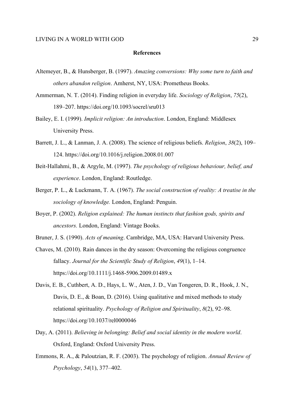#### **References**

- Altemeyer, B., & Hunsberger, B. (1997). *Amazing conversions: Why some turn to faith and others abandon religion*. Amherst, NY, USA: Prometheus Books.
- Ammerman, N. T. (2014). Finding religion in everyday life. *Sociology of Religion*, *75*(2), 189–207. https://doi.org/10.1093/socrel/sru013
- Bailey, E. I. (1999). *Implicit religion: An introduction*. London, England: Middlesex University Press.
- Barrett, J. L., & Lanman, J. A. (2008). The science of religious beliefs. *Religion*, *38*(2), 109– 124. https://doi.org/10.1016/j.religion.2008.01.007
- Beit-Hallahmi, B., & Argyle, M. (1997). *The psychology of religious behaviour, belief, and experience*. London, England: Routledge.
- Berger, P. L., & Luckmann, T. A. (1967). *The social construction of reality: A treatise in the sociology of knowledge.* London, England: Penguin.
- Boyer, P. (2002). *Religion explained: The human instincts that fashion gods, spirits and ancestors.* London, England: Vintage Books.
- Bruner, J. S. (1990). *Acts of meaning*. Cambridge, MA, USA: Harvard University Press.
- Chaves, M. (2010). Rain dances in the dry season: Overcoming the religious congruence fallacy. *Journal for the Scientific Study of Religion*, *49*(1), 1–14. https://doi.org/10.1111/j.1468-5906.2009.01489.x
- Davis, E. B., Cuthbert, A. D., Hays, L. W., Aten, J. D., Van Tongeren, D. R., Hook, J. N., Davis, D. E., & Boan, D. (2016). Using qualitative and mixed methods to study relational spirituality. *Psychology of Religion and Spirituality*, *8*(2), 92–98. https://doi.org/10.1037/rel0000046
- Day, A. (2011). *Believing in belonging: Belief and social identity in the modern world*. Oxford, England: Oxford University Press.
- Emmons, R. A., & Paloutzian, R. F. (2003). The psychology of religion. *Annual Review of Psychology*, *54*(1), 377–402.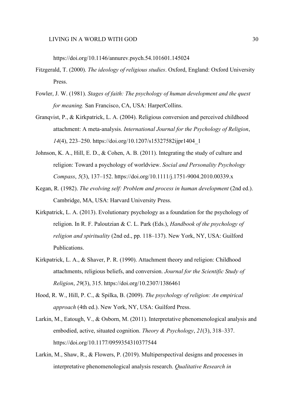https://doi.org/10.1146/annurev.psych.54.101601.145024

- Fitzgerald, T. (2000). *The ideology of religious studies*. Oxford, England: Oxford University Press.
- Fowler, J. W. (1981). *Stages of faith: The psychology of human development and the quest for meaning.* San Francisco, CA, USA: HarperCollins.
- Granqvist, P., & Kirkpatrick, L. A. (2004). Religious conversion and perceived childhood attachment: A meta-analysis. *International Journal for the Psychology of Religion*, *14*(4), 223–250. https://doi.org/10.1207/s15327582ijpr1404\_1
- Johnson, K. A., Hill, E. D., & Cohen, A. B. (2011). Integrating the study of culture and religion: Toward a psychology of worldview. *Social and Personality Psychology Compass*, *5*(3), 137–152. https://doi.org/10.1111/j.1751-9004.2010.00339.x
- Kegan, R. (1982). *The evolving self: Problem and process in human development* (2nd ed.). Cambridge, MA, USA: Harvard University Press.
- Kirkpatrick, L. A. (2013). Evolutionary psychology as a foundation for the psychology of religion. In R. F. Paloutzian & C. L. Park (Eds.), *Handbook of the psychology of religion and spirituality* (2nd ed., pp. 118–137). New York, NY, USA: Guilford Publications.
- Kirkpatrick, L. A., & Shaver, P. R. (1990). Attachment theory and religion: Childhood attachments, religious beliefs, and conversion. *Journal for the Scientific Study of Religion*, *29*(3), 315. https://doi.org/10.2307/1386461
- Hood, R. W., Hill, P. C., & Spilka, B. (2009). *The psychology of religion: An empirical approach* (4th ed.). New York, NY, USA: Guilford Press.
- Larkin, M., Eatough, V., & Osborn, M. (2011). Interpretative phenomenological analysis and embodied, active, situated cognition. *Theory & Psychology*, *21*(3), 318–337. https://doi.org/10.1177/0959354310377544
- Larkin, M., Shaw, R., & Flowers, P. (2019). Multiperspectival designs and processes in interpretative phenomenological analysis research. *Qualitative Research in*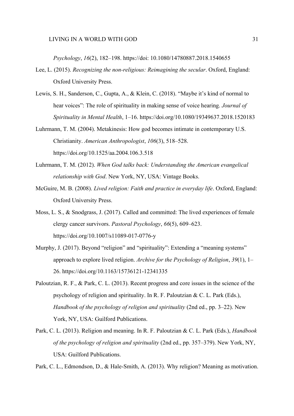*Psychology*, *16*(2), 182–198. https://doi: 10.1080/14780887.2018.1540655

- Lee, L. (2015). *Recognizing the non-religious: Reimagining the secular*. Oxford, England: Oxford University Press.
- Lewis, S. H., Sanderson, C., Gupta, A., & Klein, C. (2018). "Maybe it's kind of normal to hear voices": The role of spirituality in making sense of voice hearing. *Journal of Spirituality in Mental Health*, 1–16. https://doi.org/10.1080/19349637.2018.1520183
- Luhrmann, T. M. (2004). Metakinesis: How god becomes intimate in contemporary U.S. Christianity. *American Anthropologist*, *106*(3), 518–528. https://doi.org/10.1525/aa.2004.106.3.518
- Luhrmann, T. M. (2012). *When God talks back: Understanding the American evangelical relationship with God*. New York, NY, USA: Vintage Books.
- McGuire, M. B. (2008). *Lived religion: Faith and practice in everyday life*. Oxford, England: Oxford University Press.
- Moss, L. S., & Snodgrass, J. (2017). Called and committed: The lived experiences of female clergy cancer survivors. *Pastoral Psychology*, *66*(5), 609–623. https://doi.org/10.1007/s11089-017-0776-y
- Murphy, J. (2017). Beyond "religion" and "spirituality": Extending a "meaning systems" approach to explore lived religion. *Archive for the Psychology of Religion*, *39*(1), 1– 26. https://doi.org/10.1163/15736121-12341335
- Paloutzian, R. F., & Park, C. L. (2013). Recent progress and core issues in the science of the psychology of religion and spirituality. In R. F. Paloutzian  $& C. L.$  Park (Eds.), *Handbook of the psychology of religion and spirituality* (2nd ed., pp. 3–22). New York, NY, USA: Guilford Publications.
- Park, C. L. (2013). Religion and meaning. In R. F. Paloutzian & C. L. Park (Eds.), *Handbook of the psychology of religion and spirituality* (2nd ed., pp. 357–379). New York, NY, USA: Guilford Publications.

Park, C. L., Edmondson, D., & Hale-Smith, A. (2013). Why religion? Meaning as motivation.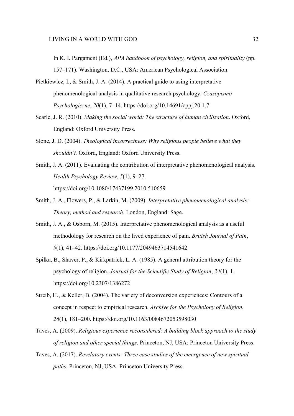In K. I. Pargament (Ed.), *APA handbook of psychology, religion, and spirituality* (pp. 157–171). Washington, D.C., USA: American Psychological Association.

- Pietkiewicz, I., & Smith, J. A. (2014). A practical guide to using interpretative phenomenological analysis in qualitative research psychology. *Czasopismo Psychologiczne*, *20*(1), 7–14. https://doi.org/10.14691/cppj.20.1.7
- Searle, J. R. (2010). *Making the social world: The structure of human civilization*. Oxford, England: Oxford University Press.
- Slone, J. D. (2004). *Theological incorrectness: Why religious people believe what they shouldn't.* Oxford, England: Oxford University Press.
- Smith, J. A. (2011). Evaluating the contribution of interpretative phenomenological analysis. *Health Psychology Review*, *5*(1), 9–27. https://doi.org/10.1080/17437199.2010.510659
- Smith, J. A., Flowers, P., & Larkin, M. (2009). *Interpretative phenomenological analysis: Theory, method and research*. London, England: Sage.
- Smith, J. A., & Osborn, M. (2015). Interpretative phenomenological analysis as a useful methodology for research on the lived experience of pain. *British Journal of Pain*, *9*(1), 41–42. https://doi.org/10.1177/2049463714541642
- Spilka, B., Shaver, P., & Kirkpatrick, L. A. (1985). A general attribution theory for the psychology of religion. *Journal for the Scientific Study of Religion*, *24*(1), 1. https://doi.org/10.2307/1386272
- Streib, H., & Keller, B. (2004). The variety of deconversion experiences: Contours of a concept in respect to empirical research. *Archive for the Psychology of Religion*, *26*(1), 181–200. https://doi.org/10.1163/0084672053598030
- Taves, A. (2009). *Religious experience reconsidered: A building block approach to the study of religion and other special things*. Princeton, NJ, USA: Princeton University Press.
- Taves, A. (2017). *Revelatory events: Three case studies of the emergence of new spiritual paths.* Princeton, NJ, USA: Princeton University Press.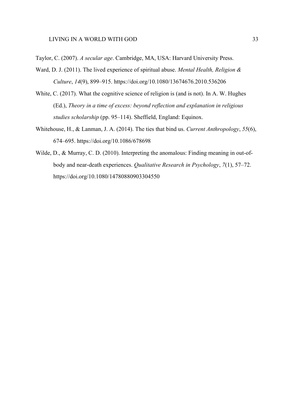- Taylor, C. (2007). *A secular age*. Cambridge, MA, USA: Harvard University Press.
- Ward, D. J. (2011). The lived experience of spiritual abuse. *Mental Health, Religion & Culture*, *14*(9), 899–915. https://doi.org/10.1080/13674676.2010.536206
- White, C. (2017). What the cognitive science of religion is (and is not). In A. W. Hughes (Ed.), *Theory in a time of excess: beyond reflection and explanation in religious studies scholarship* (pp. 95–114). Sheffield, England: Equinox.
- Whitehouse, H., & Lanman, J. A. (2014). The ties that bind us. *Current Anthropology*, *55*(6), 674–695. https://doi.org/10.1086/678698
- Wilde, D., & Murray, C. D. (2010). Interpreting the anomalous: Finding meaning in out-ofbody and near-death experiences. *Qualitative Research in Psychology*, *7*(1), 57–72. https://doi.org/10.1080/14780880903304550